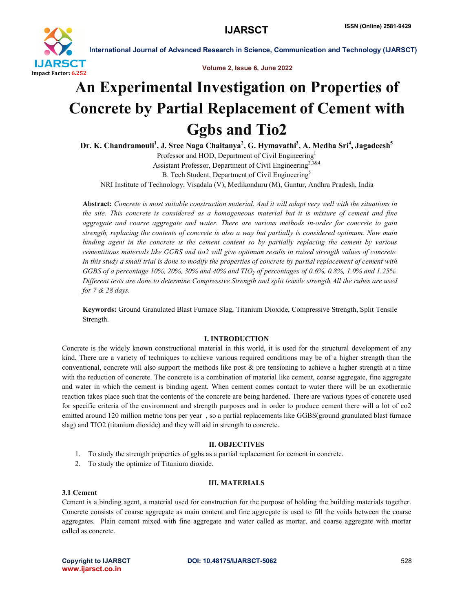

Volume 2, Issue 6, June 2022

# An Experimental Investigation on Properties of Concrete by Partial Replacement of Cement with Ggbs and Tio2

Dr. K. Chandramouli<sup>1</sup>, J. Sree Naga Chaitanya<sup>2</sup>, G. Hymavathi<sup>3</sup>, A. Medha Sri<sup>4</sup>, Jagadeesh<sup>5</sup> Professor and HOD, Department of Civil Engineering<sup>1</sup> Assistant Professor, Department of Civil Engineering<sup>2,3&4</sup> B. Tech Student, Department of Civil Engineering<sup>5</sup>

NRI Institute of Technology, Visadala (V), Medikonduru (M), Guntur, Andhra Pradesh, India

Abstract: *Concrete is most suitable construction material. And it will adapt very well with the situations in the site. This concrete is considered as a homogeneous material but it is mixture of cement and fine aggregate and coarse aggregate and water. There are various methods in-order for concrete to gain strength, replacing the contents of concrete is also a way but partially is considered optimum. Now main binding agent in the concrete is the cement content so by partially replacing the cement by various cementitious materials like GGBS and tio2 will give optimum results in raised strength values of concrete. In this study a small trial is done to modify the properties of concrete by partial replacement of cement with GGBS of a percentage 10%, 20%, 30% and 40% and TIO2 of percentages of 0.6%, 0.8%, 1.0% and 1.25%. Different tests are done to determine Compressive Strength and split tensile strength All the cubes are used for 7 & 28 days.*

Keywords: Ground Granulated Blast Furnace Slag, Titanium Dioxide, Compressive Strength, Split Tensile Strength.

#### I. INTRODUCTION

Concrete is the widely known constructional material in this world, it is used for the structural development of any kind. There are a variety of techniques to achieve various required conditions may be of a higher strength than the conventional, concrete will also support the methods like post  $\&$  pre tensioning to achieve a higher strength at a time with the reduction of concrete. The concrete is a combination of material like cement, coarse aggregate, fine aggregate and water in which the cement is binding agent. When cement comes contact to water there will be an exothermic reaction takes place such that the contents of the concrete are being hardened. There are various types of concrete used for specific criteria of the environment and strength purposes and in order to produce cement there will a lot of co2 emitted around 120 million metric tons per year , so a partial replacements like GGBS(ground granulated blast furnace slag) and TIO2 (titanium dioxide) and they will aid in strength to concrete.

#### II. OBJECTIVES

- 1. To study the strength properties of ggbs as a partial replacement for cement in concrete.
- 2. To study the optimize of Titanium dioxide.

#### III. MATERIALS

#### 3.1 Cement

Cement is a binding agent, a material used for construction for the purpose of holding the building materials together. Concrete consists of coarse aggregate as main content and fine aggregate is used to fill the voids between the coarse aggregates. Plain cement mixed with fine aggregate and water called as mortar, and coarse aggregate with mortar called as concrete.

www.ijarsct.co.in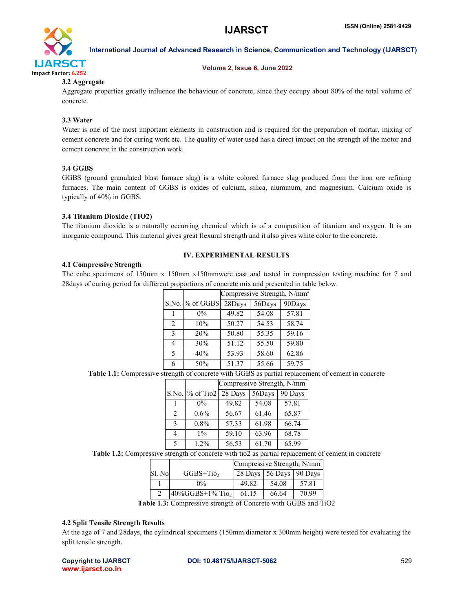

#### Volume 2, Issue 6, June 2022

#### 3.2 Aggregate

Aggregate properties greatly influence the behaviour of concrete, since they occupy about 80% of the total volume of concrete.

# 3.3 Water

Water is one of the most important elements in construction and is required for the preparation of mortar, mixing of cement concrete and for curing work etc. The quality of water used has a direct impact on the strength of the motor and cement concrete in the construction work.

#### 3.4 GGBS

GGBS (ground granulated blast furnace slag) is a white colored furnace slag produced from the iron ore refining furnaces. The main content of GGBS is oxides of calcium, silica, aluminum, and magnesium. Calcium oxide is typically of 40% in GGBS.

# 3.4 Titanium Dioxide (TIO2)

The titanium dioxide is a naturally occurring chemical which is of a composition of titanium and oxygen. It is an inorganic compound. This material gives great flexural strength and it also gives white color to the concrete.

# IV. EXPERIMENTAL RESULTS

#### 4.1 Compressive Strength

The cube specimens of 150mm x 150mm x150mmwere cast and tested in compression testing machine for 7 and 28days of curing period for different proportions of concrete mix and presented in table below.

|                |                 | Compressive Strength, N/mm <sup>2</sup> |        |        |  |
|----------------|-----------------|-----------------------------------------|--------|--------|--|
|                | S.No. % of GGBS | 28Days                                  | 56Days | 90Days |  |
|                | $0\%$           | 49.82                                   | 54.08  | 57.81  |  |
| $\mathfrak{D}$ | 10%             | 50.27                                   | 54.53  | 58.74  |  |
| $\mathbf{3}$   | 20%             | 50.80                                   | 55.35  | 59.16  |  |
| 4              | 30%             | 51.12                                   | 55.50  | 59.80  |  |
| 5              | 40%             | 53.93                                   | 58.60  | 62.86  |  |
| 6              | 50%             | 51.37                                   | 55.66  | 59.75  |  |

Table 1.1: Compressive strength of concrete with GGBS as partial replacement of cement in concrete

| S.No. % of Tio2<br>28 Days<br>56Days<br>57.81<br>49.82<br>54.08<br>$0\%$<br>$0.6\%$<br>56.67<br>65.87<br>61.46<br>$\mathfrak{D}$<br>57.33<br>$0.8\%$<br>61.98<br>$\mathbf{3}$<br>66.74 |   |       | Compressive Strength, $N/mm^2$ |       |         |  |
|----------------------------------------------------------------------------------------------------------------------------------------------------------------------------------------|---|-------|--------------------------------|-------|---------|--|
|                                                                                                                                                                                        |   |       |                                |       | 90 Days |  |
|                                                                                                                                                                                        |   |       |                                |       |         |  |
|                                                                                                                                                                                        |   |       |                                |       |         |  |
|                                                                                                                                                                                        |   |       |                                |       |         |  |
|                                                                                                                                                                                        | 4 | $1\%$ | 59.10                          | 63.96 | 68.78   |  |
| 56.53<br>61.70<br>1.2%<br>$\varsigma$                                                                                                                                                  |   |       |                                |       | 65.99   |  |

Table 1.2: Compressive strength of concrete with tio2 as partial replacement of cement in concrete

|        |                                 | Compressive Strength, $N/mm^2$ |       |       |
|--------|---------------------------------|--------------------------------|-------|-------|
| Sl. No | $GGBS+TiO2$                     | 28 Days 56 Days 90 Days        |       |       |
|        | $0\%$                           | 49.82                          | 54.08 | 57.81 |
|        | $40\%GGBS+1\%$ Tio <sub>2</sub> | 61 15                          | 66.64 | 70.99 |

Table 1.3: Compressive strength of Concrete with GGBS and TiO2

## 4.2 Split Tensile Strength Results

At the age of 7 and 28days, the cylindrical specimens (150mm diameter x 300mm height) were tested for evaluating the split tensile strength.

www.ijarsct.co.in

## Copyright to IJARSCT DOI: 10.48175/IJARSCT-5062 **529**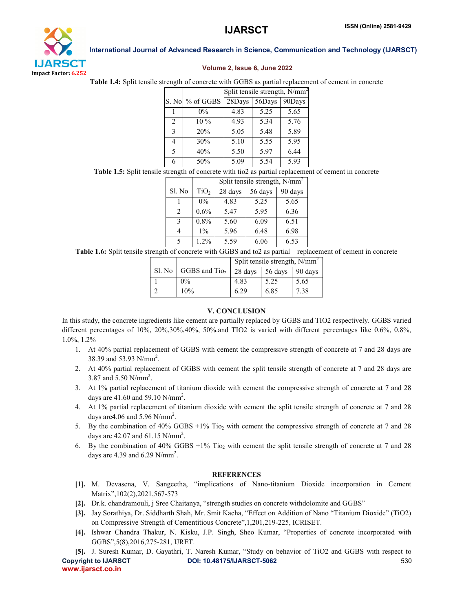

#### Volume 2, Issue 6, June 2022

Table 1.4: Split tensile strength of concrete with GGBS as partial replacement of cement in concrete

|                |                 | Split tensile strength, N/mm <sup>2</sup> |        |        |  |
|----------------|-----------------|-------------------------------------------|--------|--------|--|
|                | S. No % of GGBS | 28Days                                    | 56Days | 90Days |  |
|                | $0\%$           | 4.83                                      | 5.25   | 5.65   |  |
| $\mathfrak{D}$ | 10%             | 4.93                                      | 5.34   | 5.76   |  |
| $\mathbf{3}$   | 20%             | 5.05                                      | 5.48   | 5.89   |  |
|                | 30%             | 5.10                                      | 5.55   | 5.95   |  |
| $\sim$         | 40%             | 5.50                                      | 5.97   | 6.44   |  |
| 6              | 50%             | 5.09                                      | 5.54   | 5.93   |  |

Table 1.5: Split tensile strength of concrete with tio2 as partial replacement of cement in concrete

|                             |                  | Split tensile strength, N/mm <sup>*</sup> |         |         |
|-----------------------------|------------------|-------------------------------------------|---------|---------|
| Sl. No                      | TiO <sub>2</sub> | 28 days                                   | 56 days | 90 days |
|                             | $0\%$            | 4.83                                      | 5.25    | 5.65    |
| $\mathcal{D}_{\mathcal{A}}$ | $0.6\%$          | 5.47                                      | 5.95    | 6.36    |
| 3                           | $0.8\%$          | 5.60                                      | 6.09    | 6.51    |
|                             | $1\%$            | 5.96                                      | 6.48    | 6.98    |
| 5                           | 1.2%             | 5.59                                      | 6.06    | 6.53    |

Table 1.6: Split tensile strength of concrete with GGBS and to2 as partial replacement of cement in concrete

|         |                           | Split tensile strength, $N/mm^2$ |                         |      |
|---------|---------------------------|----------------------------------|-------------------------|------|
| $SL$ No | GGBS and Tio <sub>2</sub> |                                  | 28 days 56 days 90 days |      |
|         | $0\%$                     | 4.83                             | 5.25                    | 5.65 |
|         | 10%                       | 6.29                             | 6.85                    | 7.38 |

## V. CONCLUSION

In this study, the concrete ingredients like cement are partially replaced by GGBS and TIO2 respectively. GGBS varied different percentages of 10%, 20%,30%,40%, 50%.and TIO2 is varied with different percentages like 0.6%, 0.8%, 1.0%, 1.2%

- 1. At 40% partial replacement of GGBS with cement the compressive strength of concrete at 7 and 28 days are 38.39 and 53.93 N/mm<sup>2</sup>.
- 2. At 40% partial replacement of GGBS with cement the split tensile strength of concrete at 7 and 28 days are 3.87 and 5.50  $N/mm^2$ .
- 3. At 1% partial replacement of titanium dioxide with cement the compressive strength of concrete at 7 and 28 days are  $41.60$  and  $59.10$  N/mm<sup>2</sup>.
- 4. At 1% partial replacement of titanium dioxide with cement the split tensile strength of concrete at 7 and 28 days are 4.06 and 5.96  $N/mm^2$ .
- 5. By the combination of 40% GGBS  $+1\%$  Tio<sub>2</sub> with cement the compressive strength of concrete at 7 and 28 days are  $42.07$  and  $61.15$  N/mm<sup>2</sup>.
- 6. By the combination of 40% GGBS +1% Tio<sub>2</sub> with cement the split tensile strength of concrete at 7 and 28 days are 4.39 and 6.29  $N/mm^2$ .

#### **REFERENCES**

- [1]. M. Devasena, V. Sangeetha, "implications of Nano-titanium Dioxide incorporation in Cement Matrix",102(2),2021,567-573
- [2]. Dr.k. chandramouli, j Sree Chaitanya, "strength studies on concrete withdolomite and GGBS"
- [3]. Jay Sorathiya, Dr. Siddharth Shah, Mr. Smit Kacha, "Effect on Addition of Nano "Titanium Dioxide" (TiO2) on Compressive Strength of Cementitious Concrete",1,201,219-225, ICRISET.
- [4]. Ishwar Chandra Thakur, N. Kisku, J.P. Singh, Sheo Kumar, "Properties of concrete incorporated with GGBS",5(8),2016,275-281, IJRET.

Copyright to IJARSCT DOI: 10.48175/IJARSCT-5062 **530** www.ijarsct.co.in [5]. J. Suresh Kumar, D. Gayathri, T. Naresh Kumar, "Study on behavior of TiO2 and GGBS with respect to